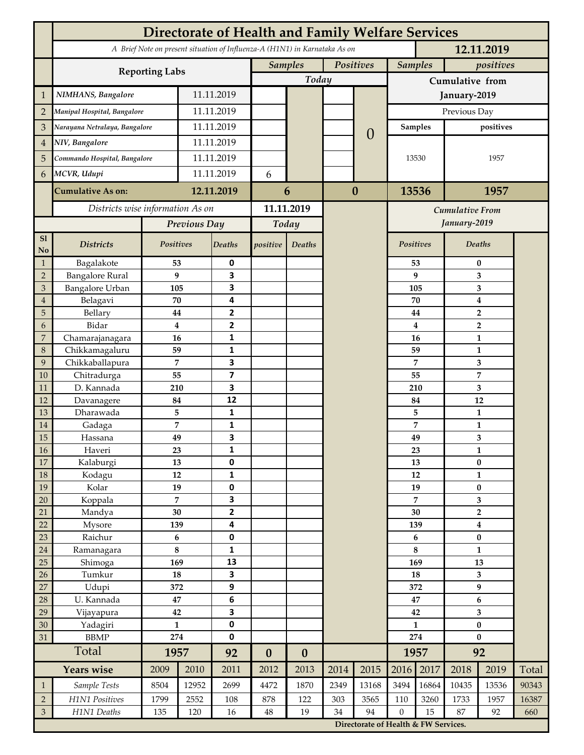| A Brief Note on present situation of Influenza-A (H1N1) in Karnataka As on<br>12.11.2019<br>Positives<br><b>Samples</b><br><b>Samples</b><br>positives<br><b>Reporting Labs</b><br>Today<br>Cumulative from<br>NIMHANS, Bangalore<br>11.11.2019<br>$\mathbf{1}$<br>January-2019<br>11.11.2019<br>Previous Day<br>$\overline{2}$<br>Manipal Hospital, Bangalore<br>11.11.2019<br>Narayana Netralaya, Bangalore<br>positives<br>3<br><b>Samples</b><br>$\left($<br>11.11.2019<br>NIV, Bangalore<br>$\overline{4}$<br>11.11.2019<br>Commando Hospital, Bangalore<br>5<br>13530<br>1957<br>11.11.2019<br>6<br>MCVR, Udupi<br>6<br>12.11.2019<br>6<br>$\bf{0}$<br>13536<br>1957<br><b>Cumulative As on:</b><br>Districts wise information As on<br>11.11.2019<br><b>Cumulative From</b><br>January-2019<br>Previous Day<br>Today<br>S1<br>Positives<br>Positives<br>Deaths<br><b>Districts</b><br>Deaths<br>positive<br>Deaths<br>No<br>Bagalakote<br>53<br>0<br>53<br>$\mathbf{1}$<br>$\bf{0}$<br><b>Bangalore Rural</b><br>9<br>3<br>9<br>$\overline{2}$<br>3<br>Bangalore Urban<br>3<br>3<br>105<br>105<br>3<br>4<br>Belagavi<br>70<br>70<br>$\boldsymbol{4}$<br>$\overline{4}$<br>2<br>5<br>Bellary<br>44<br>44<br>$\overline{2}$<br>$\overline{2}$<br>Bidar<br>$\bf{4}$<br>4<br>$\overline{2}$<br>6<br>Chamarajanagara<br>7<br>1<br>16<br>16<br>1<br>Chikkamagaluru<br>1<br>8<br>59<br>59<br>1<br>Chikkaballapura<br>7<br>3<br>7<br>9<br>3<br>$\overline{\mathbf{z}}$<br>7<br>10<br>Chitradurga<br>55<br>55<br>D. Kannada<br>3<br>11<br>3<br>210<br>210<br>12<br>12<br>Davanagere<br>84<br>84<br>12<br>Dharawada<br>5<br>$\mathbf{1}$<br>5<br>13<br>$\mathbf{1}$<br>1<br>7<br>7<br>14<br>Gadaga<br>1<br>3<br>49<br>3<br>15<br>49<br>Hassana<br><b>16</b><br>Haveri<br>23<br>1<br>23<br>1<br>17<br>0<br>$\pmb{0}$<br>Kalaburgi<br>13<br>13<br>18<br>12<br>$\mathbf{1}$<br>Kodagu<br>12<br>$\mathbf{1}$<br>19<br>19<br>0<br>Kolar<br>$\pmb{0}$<br>19<br>$\overline{7}$<br>3<br>7<br>Koppala<br>3<br>20<br>$\mathbf{2}$<br>Mandya<br>$30\,$<br>30<br>$\mathbf 2$<br>21<br>22<br>4<br>Mysore<br>139<br>139<br>$\boldsymbol{4}$<br>$\pmb{0}$<br>23<br>Raichur<br>$\bf 6$<br>6<br>$\pmb{0}$<br>8<br>8<br>1<br>$24\,$<br>Ramanagara<br>$\mathbf{1}$<br>25<br>13<br>Shimoga<br>169<br>169<br>13<br>3<br>26<br>Tumkur<br>${\bf 18}$<br>18<br>3<br>27<br>9<br>9<br>Udupi<br>372<br>372<br>28<br>U. Kannada<br>$\bf 47$<br>$\bf 6$<br>$\bf 6$<br>47<br>3<br>$\overline{\mathbf{3}}$<br>29<br>Vijayapura<br>42<br>42<br>0<br>$\mathbf{1}$<br>30<br>Yadagiri<br>$\mathbf{1}$<br>$\pmb{0}$<br><b>BBMP</b><br>274<br>0<br>274<br>$\bf{0}$<br>31<br>Total<br>92<br>1957<br>1957<br>92<br>$\boldsymbol{0}$<br>$\boldsymbol{0}$<br><b>Years wise</b><br>2017<br>2014<br>2015<br>2016<br>2019<br>2009<br>2010<br>2011<br>2012<br>2013<br>2018<br>Total<br>Sample Tests<br>12952<br>2699<br>4472<br>1870<br>2349<br>13168<br>3494<br>16864<br>10435<br>13536<br>90343<br>8504<br>$\mathbf{1}$<br>H1N1 Positives<br>$\overline{2}$<br>2552<br>122<br>303<br>3565<br>3260<br>1733<br>16387<br>1799<br>108<br>878<br>110<br>1957<br>$\mathfrak{Z}$<br>H1N1 Deaths<br>19<br>94<br>$\boldsymbol{0}$<br>15<br>135<br>120<br>16<br>$48\,$<br>34<br>87<br>92<br>660<br>Directorate of Health & FW Services. | <b>Directorate of Health and Family Welfare Services</b> |  |  |  |  |  |  |  |  |  |  |  |  |  |
|---------------------------------------------------------------------------------------------------------------------------------------------------------------------------------------------------------------------------------------------------------------------------------------------------------------------------------------------------------------------------------------------------------------------------------------------------------------------------------------------------------------------------------------------------------------------------------------------------------------------------------------------------------------------------------------------------------------------------------------------------------------------------------------------------------------------------------------------------------------------------------------------------------------------------------------------------------------------------------------------------------------------------------------------------------------------------------------------------------------------------------------------------------------------------------------------------------------------------------------------------------------------------------------------------------------------------------------------------------------------------------------------------------------------------------------------------------------------------------------------------------------------------------------------------------------------------------------------------------------------------------------------------------------------------------------------------------------------------------------------------------------------------------------------------------------------------------------------------------------------------------------------------------------------------------------------------------------------------------------------------------------------------------------------------------------------------------------------------------------------------------------------------------------------------------------------------------------------------------------------------------------------------------------------------------------------------------------------------------------------------------------------------------------------------------------------------------------------------------------------------------------------------------------------------------------------------------------------------------------------------------------------------------------------------------------------------------------------------------------------------------------------------------------------------------------------------------------------------------------------------------------------------------------------------------------------------------------------------------------------------------------------------------------------------------------------------------------------------------------------------------------------------------------------------------------------------------------------------------------------------------------------------------|----------------------------------------------------------|--|--|--|--|--|--|--|--|--|--|--|--|--|
|                                                                                                                                                                                                                                                                                                                                                                                                                                                                                                                                                                                                                                                                                                                                                                                                                                                                                                                                                                                                                                                                                                                                                                                                                                                                                                                                                                                                                                                                                                                                                                                                                                                                                                                                                                                                                                                                                                                                                                                                                                                                                                                                                                                                                                                                                                                                                                                                                                                                                                                                                                                                                                                                                                                                                                                                                                                                                                                                                                                                                                                                                                                                                                                                                                                                                 |                                                          |  |  |  |  |  |  |  |  |  |  |  |  |  |
|                                                                                                                                                                                                                                                                                                                                                                                                                                                                                                                                                                                                                                                                                                                                                                                                                                                                                                                                                                                                                                                                                                                                                                                                                                                                                                                                                                                                                                                                                                                                                                                                                                                                                                                                                                                                                                                                                                                                                                                                                                                                                                                                                                                                                                                                                                                                                                                                                                                                                                                                                                                                                                                                                                                                                                                                                                                                                                                                                                                                                                                                                                                                                                                                                                                                                 |                                                          |  |  |  |  |  |  |  |  |  |  |  |  |  |
|                                                                                                                                                                                                                                                                                                                                                                                                                                                                                                                                                                                                                                                                                                                                                                                                                                                                                                                                                                                                                                                                                                                                                                                                                                                                                                                                                                                                                                                                                                                                                                                                                                                                                                                                                                                                                                                                                                                                                                                                                                                                                                                                                                                                                                                                                                                                                                                                                                                                                                                                                                                                                                                                                                                                                                                                                                                                                                                                                                                                                                                                                                                                                                                                                                                                                 |                                                          |  |  |  |  |  |  |  |  |  |  |  |  |  |
|                                                                                                                                                                                                                                                                                                                                                                                                                                                                                                                                                                                                                                                                                                                                                                                                                                                                                                                                                                                                                                                                                                                                                                                                                                                                                                                                                                                                                                                                                                                                                                                                                                                                                                                                                                                                                                                                                                                                                                                                                                                                                                                                                                                                                                                                                                                                                                                                                                                                                                                                                                                                                                                                                                                                                                                                                                                                                                                                                                                                                                                                                                                                                                                                                                                                                 |                                                          |  |  |  |  |  |  |  |  |  |  |  |  |  |
|                                                                                                                                                                                                                                                                                                                                                                                                                                                                                                                                                                                                                                                                                                                                                                                                                                                                                                                                                                                                                                                                                                                                                                                                                                                                                                                                                                                                                                                                                                                                                                                                                                                                                                                                                                                                                                                                                                                                                                                                                                                                                                                                                                                                                                                                                                                                                                                                                                                                                                                                                                                                                                                                                                                                                                                                                                                                                                                                                                                                                                                                                                                                                                                                                                                                                 |                                                          |  |  |  |  |  |  |  |  |  |  |  |  |  |
|                                                                                                                                                                                                                                                                                                                                                                                                                                                                                                                                                                                                                                                                                                                                                                                                                                                                                                                                                                                                                                                                                                                                                                                                                                                                                                                                                                                                                                                                                                                                                                                                                                                                                                                                                                                                                                                                                                                                                                                                                                                                                                                                                                                                                                                                                                                                                                                                                                                                                                                                                                                                                                                                                                                                                                                                                                                                                                                                                                                                                                                                                                                                                                                                                                                                                 |                                                          |  |  |  |  |  |  |  |  |  |  |  |  |  |
|                                                                                                                                                                                                                                                                                                                                                                                                                                                                                                                                                                                                                                                                                                                                                                                                                                                                                                                                                                                                                                                                                                                                                                                                                                                                                                                                                                                                                                                                                                                                                                                                                                                                                                                                                                                                                                                                                                                                                                                                                                                                                                                                                                                                                                                                                                                                                                                                                                                                                                                                                                                                                                                                                                                                                                                                                                                                                                                                                                                                                                                                                                                                                                                                                                                                                 |                                                          |  |  |  |  |  |  |  |  |  |  |  |  |  |
|                                                                                                                                                                                                                                                                                                                                                                                                                                                                                                                                                                                                                                                                                                                                                                                                                                                                                                                                                                                                                                                                                                                                                                                                                                                                                                                                                                                                                                                                                                                                                                                                                                                                                                                                                                                                                                                                                                                                                                                                                                                                                                                                                                                                                                                                                                                                                                                                                                                                                                                                                                                                                                                                                                                                                                                                                                                                                                                                                                                                                                                                                                                                                                                                                                                                                 |                                                          |  |  |  |  |  |  |  |  |  |  |  |  |  |
|                                                                                                                                                                                                                                                                                                                                                                                                                                                                                                                                                                                                                                                                                                                                                                                                                                                                                                                                                                                                                                                                                                                                                                                                                                                                                                                                                                                                                                                                                                                                                                                                                                                                                                                                                                                                                                                                                                                                                                                                                                                                                                                                                                                                                                                                                                                                                                                                                                                                                                                                                                                                                                                                                                                                                                                                                                                                                                                                                                                                                                                                                                                                                                                                                                                                                 |                                                          |  |  |  |  |  |  |  |  |  |  |  |  |  |
|                                                                                                                                                                                                                                                                                                                                                                                                                                                                                                                                                                                                                                                                                                                                                                                                                                                                                                                                                                                                                                                                                                                                                                                                                                                                                                                                                                                                                                                                                                                                                                                                                                                                                                                                                                                                                                                                                                                                                                                                                                                                                                                                                                                                                                                                                                                                                                                                                                                                                                                                                                                                                                                                                                                                                                                                                                                                                                                                                                                                                                                                                                                                                                                                                                                                                 |                                                          |  |  |  |  |  |  |  |  |  |  |  |  |  |
|                                                                                                                                                                                                                                                                                                                                                                                                                                                                                                                                                                                                                                                                                                                                                                                                                                                                                                                                                                                                                                                                                                                                                                                                                                                                                                                                                                                                                                                                                                                                                                                                                                                                                                                                                                                                                                                                                                                                                                                                                                                                                                                                                                                                                                                                                                                                                                                                                                                                                                                                                                                                                                                                                                                                                                                                                                                                                                                                                                                                                                                                                                                                                                                                                                                                                 |                                                          |  |  |  |  |  |  |  |  |  |  |  |  |  |
|                                                                                                                                                                                                                                                                                                                                                                                                                                                                                                                                                                                                                                                                                                                                                                                                                                                                                                                                                                                                                                                                                                                                                                                                                                                                                                                                                                                                                                                                                                                                                                                                                                                                                                                                                                                                                                                                                                                                                                                                                                                                                                                                                                                                                                                                                                                                                                                                                                                                                                                                                                                                                                                                                                                                                                                                                                                                                                                                                                                                                                                                                                                                                                                                                                                                                 |                                                          |  |  |  |  |  |  |  |  |  |  |  |  |  |
|                                                                                                                                                                                                                                                                                                                                                                                                                                                                                                                                                                                                                                                                                                                                                                                                                                                                                                                                                                                                                                                                                                                                                                                                                                                                                                                                                                                                                                                                                                                                                                                                                                                                                                                                                                                                                                                                                                                                                                                                                                                                                                                                                                                                                                                                                                                                                                                                                                                                                                                                                                                                                                                                                                                                                                                                                                                                                                                                                                                                                                                                                                                                                                                                                                                                                 |                                                          |  |  |  |  |  |  |  |  |  |  |  |  |  |
|                                                                                                                                                                                                                                                                                                                                                                                                                                                                                                                                                                                                                                                                                                                                                                                                                                                                                                                                                                                                                                                                                                                                                                                                                                                                                                                                                                                                                                                                                                                                                                                                                                                                                                                                                                                                                                                                                                                                                                                                                                                                                                                                                                                                                                                                                                                                                                                                                                                                                                                                                                                                                                                                                                                                                                                                                                                                                                                                                                                                                                                                                                                                                                                                                                                                                 |                                                          |  |  |  |  |  |  |  |  |  |  |  |  |  |
|                                                                                                                                                                                                                                                                                                                                                                                                                                                                                                                                                                                                                                                                                                                                                                                                                                                                                                                                                                                                                                                                                                                                                                                                                                                                                                                                                                                                                                                                                                                                                                                                                                                                                                                                                                                                                                                                                                                                                                                                                                                                                                                                                                                                                                                                                                                                                                                                                                                                                                                                                                                                                                                                                                                                                                                                                                                                                                                                                                                                                                                                                                                                                                                                                                                                                 |                                                          |  |  |  |  |  |  |  |  |  |  |  |  |  |
|                                                                                                                                                                                                                                                                                                                                                                                                                                                                                                                                                                                                                                                                                                                                                                                                                                                                                                                                                                                                                                                                                                                                                                                                                                                                                                                                                                                                                                                                                                                                                                                                                                                                                                                                                                                                                                                                                                                                                                                                                                                                                                                                                                                                                                                                                                                                                                                                                                                                                                                                                                                                                                                                                                                                                                                                                                                                                                                                                                                                                                                                                                                                                                                                                                                                                 |                                                          |  |  |  |  |  |  |  |  |  |  |  |  |  |
|                                                                                                                                                                                                                                                                                                                                                                                                                                                                                                                                                                                                                                                                                                                                                                                                                                                                                                                                                                                                                                                                                                                                                                                                                                                                                                                                                                                                                                                                                                                                                                                                                                                                                                                                                                                                                                                                                                                                                                                                                                                                                                                                                                                                                                                                                                                                                                                                                                                                                                                                                                                                                                                                                                                                                                                                                                                                                                                                                                                                                                                                                                                                                                                                                                                                                 |                                                          |  |  |  |  |  |  |  |  |  |  |  |  |  |
|                                                                                                                                                                                                                                                                                                                                                                                                                                                                                                                                                                                                                                                                                                                                                                                                                                                                                                                                                                                                                                                                                                                                                                                                                                                                                                                                                                                                                                                                                                                                                                                                                                                                                                                                                                                                                                                                                                                                                                                                                                                                                                                                                                                                                                                                                                                                                                                                                                                                                                                                                                                                                                                                                                                                                                                                                                                                                                                                                                                                                                                                                                                                                                                                                                                                                 |                                                          |  |  |  |  |  |  |  |  |  |  |  |  |  |
|                                                                                                                                                                                                                                                                                                                                                                                                                                                                                                                                                                                                                                                                                                                                                                                                                                                                                                                                                                                                                                                                                                                                                                                                                                                                                                                                                                                                                                                                                                                                                                                                                                                                                                                                                                                                                                                                                                                                                                                                                                                                                                                                                                                                                                                                                                                                                                                                                                                                                                                                                                                                                                                                                                                                                                                                                                                                                                                                                                                                                                                                                                                                                                                                                                                                                 |                                                          |  |  |  |  |  |  |  |  |  |  |  |  |  |
|                                                                                                                                                                                                                                                                                                                                                                                                                                                                                                                                                                                                                                                                                                                                                                                                                                                                                                                                                                                                                                                                                                                                                                                                                                                                                                                                                                                                                                                                                                                                                                                                                                                                                                                                                                                                                                                                                                                                                                                                                                                                                                                                                                                                                                                                                                                                                                                                                                                                                                                                                                                                                                                                                                                                                                                                                                                                                                                                                                                                                                                                                                                                                                                                                                                                                 |                                                          |  |  |  |  |  |  |  |  |  |  |  |  |  |
|                                                                                                                                                                                                                                                                                                                                                                                                                                                                                                                                                                                                                                                                                                                                                                                                                                                                                                                                                                                                                                                                                                                                                                                                                                                                                                                                                                                                                                                                                                                                                                                                                                                                                                                                                                                                                                                                                                                                                                                                                                                                                                                                                                                                                                                                                                                                                                                                                                                                                                                                                                                                                                                                                                                                                                                                                                                                                                                                                                                                                                                                                                                                                                                                                                                                                 |                                                          |  |  |  |  |  |  |  |  |  |  |  |  |  |
|                                                                                                                                                                                                                                                                                                                                                                                                                                                                                                                                                                                                                                                                                                                                                                                                                                                                                                                                                                                                                                                                                                                                                                                                                                                                                                                                                                                                                                                                                                                                                                                                                                                                                                                                                                                                                                                                                                                                                                                                                                                                                                                                                                                                                                                                                                                                                                                                                                                                                                                                                                                                                                                                                                                                                                                                                                                                                                                                                                                                                                                                                                                                                                                                                                                                                 |                                                          |  |  |  |  |  |  |  |  |  |  |  |  |  |
|                                                                                                                                                                                                                                                                                                                                                                                                                                                                                                                                                                                                                                                                                                                                                                                                                                                                                                                                                                                                                                                                                                                                                                                                                                                                                                                                                                                                                                                                                                                                                                                                                                                                                                                                                                                                                                                                                                                                                                                                                                                                                                                                                                                                                                                                                                                                                                                                                                                                                                                                                                                                                                                                                                                                                                                                                                                                                                                                                                                                                                                                                                                                                                                                                                                                                 |                                                          |  |  |  |  |  |  |  |  |  |  |  |  |  |
|                                                                                                                                                                                                                                                                                                                                                                                                                                                                                                                                                                                                                                                                                                                                                                                                                                                                                                                                                                                                                                                                                                                                                                                                                                                                                                                                                                                                                                                                                                                                                                                                                                                                                                                                                                                                                                                                                                                                                                                                                                                                                                                                                                                                                                                                                                                                                                                                                                                                                                                                                                                                                                                                                                                                                                                                                                                                                                                                                                                                                                                                                                                                                                                                                                                                                 |                                                          |  |  |  |  |  |  |  |  |  |  |  |  |  |
|                                                                                                                                                                                                                                                                                                                                                                                                                                                                                                                                                                                                                                                                                                                                                                                                                                                                                                                                                                                                                                                                                                                                                                                                                                                                                                                                                                                                                                                                                                                                                                                                                                                                                                                                                                                                                                                                                                                                                                                                                                                                                                                                                                                                                                                                                                                                                                                                                                                                                                                                                                                                                                                                                                                                                                                                                                                                                                                                                                                                                                                                                                                                                                                                                                                                                 |                                                          |  |  |  |  |  |  |  |  |  |  |  |  |  |
|                                                                                                                                                                                                                                                                                                                                                                                                                                                                                                                                                                                                                                                                                                                                                                                                                                                                                                                                                                                                                                                                                                                                                                                                                                                                                                                                                                                                                                                                                                                                                                                                                                                                                                                                                                                                                                                                                                                                                                                                                                                                                                                                                                                                                                                                                                                                                                                                                                                                                                                                                                                                                                                                                                                                                                                                                                                                                                                                                                                                                                                                                                                                                                                                                                                                                 |                                                          |  |  |  |  |  |  |  |  |  |  |  |  |  |
|                                                                                                                                                                                                                                                                                                                                                                                                                                                                                                                                                                                                                                                                                                                                                                                                                                                                                                                                                                                                                                                                                                                                                                                                                                                                                                                                                                                                                                                                                                                                                                                                                                                                                                                                                                                                                                                                                                                                                                                                                                                                                                                                                                                                                                                                                                                                                                                                                                                                                                                                                                                                                                                                                                                                                                                                                                                                                                                                                                                                                                                                                                                                                                                                                                                                                 |                                                          |  |  |  |  |  |  |  |  |  |  |  |  |  |
|                                                                                                                                                                                                                                                                                                                                                                                                                                                                                                                                                                                                                                                                                                                                                                                                                                                                                                                                                                                                                                                                                                                                                                                                                                                                                                                                                                                                                                                                                                                                                                                                                                                                                                                                                                                                                                                                                                                                                                                                                                                                                                                                                                                                                                                                                                                                                                                                                                                                                                                                                                                                                                                                                                                                                                                                                                                                                                                                                                                                                                                                                                                                                                                                                                                                                 |                                                          |  |  |  |  |  |  |  |  |  |  |  |  |  |
|                                                                                                                                                                                                                                                                                                                                                                                                                                                                                                                                                                                                                                                                                                                                                                                                                                                                                                                                                                                                                                                                                                                                                                                                                                                                                                                                                                                                                                                                                                                                                                                                                                                                                                                                                                                                                                                                                                                                                                                                                                                                                                                                                                                                                                                                                                                                                                                                                                                                                                                                                                                                                                                                                                                                                                                                                                                                                                                                                                                                                                                                                                                                                                                                                                                                                 |                                                          |  |  |  |  |  |  |  |  |  |  |  |  |  |
|                                                                                                                                                                                                                                                                                                                                                                                                                                                                                                                                                                                                                                                                                                                                                                                                                                                                                                                                                                                                                                                                                                                                                                                                                                                                                                                                                                                                                                                                                                                                                                                                                                                                                                                                                                                                                                                                                                                                                                                                                                                                                                                                                                                                                                                                                                                                                                                                                                                                                                                                                                                                                                                                                                                                                                                                                                                                                                                                                                                                                                                                                                                                                                                                                                                                                 |                                                          |  |  |  |  |  |  |  |  |  |  |  |  |  |
|                                                                                                                                                                                                                                                                                                                                                                                                                                                                                                                                                                                                                                                                                                                                                                                                                                                                                                                                                                                                                                                                                                                                                                                                                                                                                                                                                                                                                                                                                                                                                                                                                                                                                                                                                                                                                                                                                                                                                                                                                                                                                                                                                                                                                                                                                                                                                                                                                                                                                                                                                                                                                                                                                                                                                                                                                                                                                                                                                                                                                                                                                                                                                                                                                                                                                 |                                                          |  |  |  |  |  |  |  |  |  |  |  |  |  |
|                                                                                                                                                                                                                                                                                                                                                                                                                                                                                                                                                                                                                                                                                                                                                                                                                                                                                                                                                                                                                                                                                                                                                                                                                                                                                                                                                                                                                                                                                                                                                                                                                                                                                                                                                                                                                                                                                                                                                                                                                                                                                                                                                                                                                                                                                                                                                                                                                                                                                                                                                                                                                                                                                                                                                                                                                                                                                                                                                                                                                                                                                                                                                                                                                                                                                 |                                                          |  |  |  |  |  |  |  |  |  |  |  |  |  |
|                                                                                                                                                                                                                                                                                                                                                                                                                                                                                                                                                                                                                                                                                                                                                                                                                                                                                                                                                                                                                                                                                                                                                                                                                                                                                                                                                                                                                                                                                                                                                                                                                                                                                                                                                                                                                                                                                                                                                                                                                                                                                                                                                                                                                                                                                                                                                                                                                                                                                                                                                                                                                                                                                                                                                                                                                                                                                                                                                                                                                                                                                                                                                                                                                                                                                 |                                                          |  |  |  |  |  |  |  |  |  |  |  |  |  |
|                                                                                                                                                                                                                                                                                                                                                                                                                                                                                                                                                                                                                                                                                                                                                                                                                                                                                                                                                                                                                                                                                                                                                                                                                                                                                                                                                                                                                                                                                                                                                                                                                                                                                                                                                                                                                                                                                                                                                                                                                                                                                                                                                                                                                                                                                                                                                                                                                                                                                                                                                                                                                                                                                                                                                                                                                                                                                                                                                                                                                                                                                                                                                                                                                                                                                 |                                                          |  |  |  |  |  |  |  |  |  |  |  |  |  |
|                                                                                                                                                                                                                                                                                                                                                                                                                                                                                                                                                                                                                                                                                                                                                                                                                                                                                                                                                                                                                                                                                                                                                                                                                                                                                                                                                                                                                                                                                                                                                                                                                                                                                                                                                                                                                                                                                                                                                                                                                                                                                                                                                                                                                                                                                                                                                                                                                                                                                                                                                                                                                                                                                                                                                                                                                                                                                                                                                                                                                                                                                                                                                                                                                                                                                 |                                                          |  |  |  |  |  |  |  |  |  |  |  |  |  |
|                                                                                                                                                                                                                                                                                                                                                                                                                                                                                                                                                                                                                                                                                                                                                                                                                                                                                                                                                                                                                                                                                                                                                                                                                                                                                                                                                                                                                                                                                                                                                                                                                                                                                                                                                                                                                                                                                                                                                                                                                                                                                                                                                                                                                                                                                                                                                                                                                                                                                                                                                                                                                                                                                                                                                                                                                                                                                                                                                                                                                                                                                                                                                                                                                                                                                 |                                                          |  |  |  |  |  |  |  |  |  |  |  |  |  |
|                                                                                                                                                                                                                                                                                                                                                                                                                                                                                                                                                                                                                                                                                                                                                                                                                                                                                                                                                                                                                                                                                                                                                                                                                                                                                                                                                                                                                                                                                                                                                                                                                                                                                                                                                                                                                                                                                                                                                                                                                                                                                                                                                                                                                                                                                                                                                                                                                                                                                                                                                                                                                                                                                                                                                                                                                                                                                                                                                                                                                                                                                                                                                                                                                                                                                 |                                                          |  |  |  |  |  |  |  |  |  |  |  |  |  |
|                                                                                                                                                                                                                                                                                                                                                                                                                                                                                                                                                                                                                                                                                                                                                                                                                                                                                                                                                                                                                                                                                                                                                                                                                                                                                                                                                                                                                                                                                                                                                                                                                                                                                                                                                                                                                                                                                                                                                                                                                                                                                                                                                                                                                                                                                                                                                                                                                                                                                                                                                                                                                                                                                                                                                                                                                                                                                                                                                                                                                                                                                                                                                                                                                                                                                 |                                                          |  |  |  |  |  |  |  |  |  |  |  |  |  |
|                                                                                                                                                                                                                                                                                                                                                                                                                                                                                                                                                                                                                                                                                                                                                                                                                                                                                                                                                                                                                                                                                                                                                                                                                                                                                                                                                                                                                                                                                                                                                                                                                                                                                                                                                                                                                                                                                                                                                                                                                                                                                                                                                                                                                                                                                                                                                                                                                                                                                                                                                                                                                                                                                                                                                                                                                                                                                                                                                                                                                                                                                                                                                                                                                                                                                 |                                                          |  |  |  |  |  |  |  |  |  |  |  |  |  |
|                                                                                                                                                                                                                                                                                                                                                                                                                                                                                                                                                                                                                                                                                                                                                                                                                                                                                                                                                                                                                                                                                                                                                                                                                                                                                                                                                                                                                                                                                                                                                                                                                                                                                                                                                                                                                                                                                                                                                                                                                                                                                                                                                                                                                                                                                                                                                                                                                                                                                                                                                                                                                                                                                                                                                                                                                                                                                                                                                                                                                                                                                                                                                                                                                                                                                 |                                                          |  |  |  |  |  |  |  |  |  |  |  |  |  |
|                                                                                                                                                                                                                                                                                                                                                                                                                                                                                                                                                                                                                                                                                                                                                                                                                                                                                                                                                                                                                                                                                                                                                                                                                                                                                                                                                                                                                                                                                                                                                                                                                                                                                                                                                                                                                                                                                                                                                                                                                                                                                                                                                                                                                                                                                                                                                                                                                                                                                                                                                                                                                                                                                                                                                                                                                                                                                                                                                                                                                                                                                                                                                                                                                                                                                 |                                                          |  |  |  |  |  |  |  |  |  |  |  |  |  |
|                                                                                                                                                                                                                                                                                                                                                                                                                                                                                                                                                                                                                                                                                                                                                                                                                                                                                                                                                                                                                                                                                                                                                                                                                                                                                                                                                                                                                                                                                                                                                                                                                                                                                                                                                                                                                                                                                                                                                                                                                                                                                                                                                                                                                                                                                                                                                                                                                                                                                                                                                                                                                                                                                                                                                                                                                                                                                                                                                                                                                                                                                                                                                                                                                                                                                 |                                                          |  |  |  |  |  |  |  |  |  |  |  |  |  |
|                                                                                                                                                                                                                                                                                                                                                                                                                                                                                                                                                                                                                                                                                                                                                                                                                                                                                                                                                                                                                                                                                                                                                                                                                                                                                                                                                                                                                                                                                                                                                                                                                                                                                                                                                                                                                                                                                                                                                                                                                                                                                                                                                                                                                                                                                                                                                                                                                                                                                                                                                                                                                                                                                                                                                                                                                                                                                                                                                                                                                                                                                                                                                                                                                                                                                 |                                                          |  |  |  |  |  |  |  |  |  |  |  |  |  |
|                                                                                                                                                                                                                                                                                                                                                                                                                                                                                                                                                                                                                                                                                                                                                                                                                                                                                                                                                                                                                                                                                                                                                                                                                                                                                                                                                                                                                                                                                                                                                                                                                                                                                                                                                                                                                                                                                                                                                                                                                                                                                                                                                                                                                                                                                                                                                                                                                                                                                                                                                                                                                                                                                                                                                                                                                                                                                                                                                                                                                                                                                                                                                                                                                                                                                 |                                                          |  |  |  |  |  |  |  |  |  |  |  |  |  |
|                                                                                                                                                                                                                                                                                                                                                                                                                                                                                                                                                                                                                                                                                                                                                                                                                                                                                                                                                                                                                                                                                                                                                                                                                                                                                                                                                                                                                                                                                                                                                                                                                                                                                                                                                                                                                                                                                                                                                                                                                                                                                                                                                                                                                                                                                                                                                                                                                                                                                                                                                                                                                                                                                                                                                                                                                                                                                                                                                                                                                                                                                                                                                                                                                                                                                 |                                                          |  |  |  |  |  |  |  |  |  |  |  |  |  |
|                                                                                                                                                                                                                                                                                                                                                                                                                                                                                                                                                                                                                                                                                                                                                                                                                                                                                                                                                                                                                                                                                                                                                                                                                                                                                                                                                                                                                                                                                                                                                                                                                                                                                                                                                                                                                                                                                                                                                                                                                                                                                                                                                                                                                                                                                                                                                                                                                                                                                                                                                                                                                                                                                                                                                                                                                                                                                                                                                                                                                                                                                                                                                                                                                                                                                 |                                                          |  |  |  |  |  |  |  |  |  |  |  |  |  |
|                                                                                                                                                                                                                                                                                                                                                                                                                                                                                                                                                                                                                                                                                                                                                                                                                                                                                                                                                                                                                                                                                                                                                                                                                                                                                                                                                                                                                                                                                                                                                                                                                                                                                                                                                                                                                                                                                                                                                                                                                                                                                                                                                                                                                                                                                                                                                                                                                                                                                                                                                                                                                                                                                                                                                                                                                                                                                                                                                                                                                                                                                                                                                                                                                                                                                 |                                                          |  |  |  |  |  |  |  |  |  |  |  |  |  |
|                                                                                                                                                                                                                                                                                                                                                                                                                                                                                                                                                                                                                                                                                                                                                                                                                                                                                                                                                                                                                                                                                                                                                                                                                                                                                                                                                                                                                                                                                                                                                                                                                                                                                                                                                                                                                                                                                                                                                                                                                                                                                                                                                                                                                                                                                                                                                                                                                                                                                                                                                                                                                                                                                                                                                                                                                                                                                                                                                                                                                                                                                                                                                                                                                                                                                 |                                                          |  |  |  |  |  |  |  |  |  |  |  |  |  |